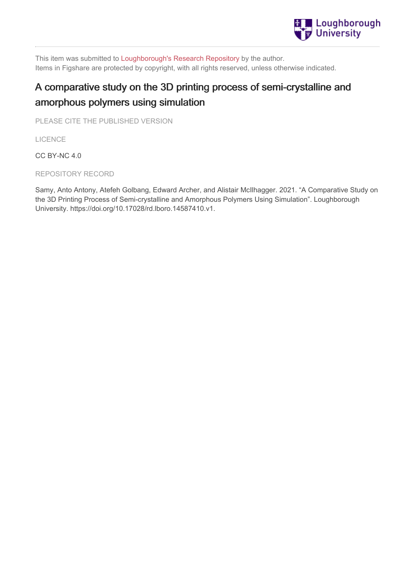

This item was submitted to [Loughborough's](https://lboro.figshare.com/) Research Repository by the author. Items in Figshare are protected by copyright, with all rights reserved, unless otherwise indicated.

# A comparative study on the 3D printing process of semi-crystalline and amorphous polymers using simulation

PLEASE CITE THE PUBLISHED VERSION

LICENCE

CC BY-NC 4.0

REPOSITORY RECORD

Samy, Anto Antony, Atefeh Golbang, Edward Archer, and Alistair McIlhagger. 2021. "A Comparative Study on the 3D Printing Process of Semi-crystalline and Amorphous Polymers Using Simulation". Loughborough University. https://doi.org/10.17028/rd.lboro.14587410.v1.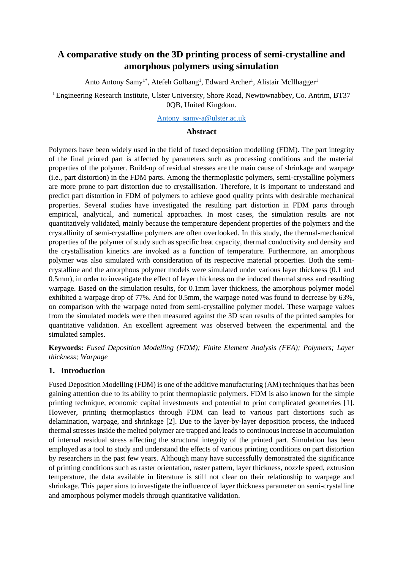# **A comparative study on the 3D printing process of semi-crystalline and amorphous polymers using simulation**

Anto Antony Samy<sup>1\*</sup>, Atefeh Golbang<sup>1</sup>, Edward Archer<sup>1</sup>, Alistair McIlhagger<sup>1</sup>

<sup>1</sup> Engineering Research Institute, Ulster University, Shore Road, Newtownabbey, Co. Antrim, BT37 0QB, United Kingdom.

[Antony\\_samy-a@ulster.ac.uk](mailto:Antony_samy-a@ulster.ac.uk)

#### **Abstract**

Polymers have been widely used in the field of fused deposition modelling (FDM). The part integrity of the final printed part is affected by parameters such as processing conditions and the material properties of the polymer. Build-up of residual stresses are the main cause of shrinkage and warpage (i.e., part distortion) in the FDM parts. Among the thermoplastic polymers, semi-crystalline polymers are more prone to part distortion due to crystallisation. Therefore, it is important to understand and predict part distortion in FDM of polymers to achieve good quality prints with desirable mechanical properties. Several studies have investigated the resulting part distortion in FDM parts through empirical, analytical, and numerical approaches. In most cases, the simulation results are not quantitatively validated, mainly because the temperature dependent properties of the polymers and the crystallinity of semi-crystalline polymers are often overlooked. In this study, the thermal-mechanical properties of the polymer of study such as specific heat capacity, thermal conductivity and density and the crystallisation kinetics are invoked as a function of temperature. Furthermore, an amorphous polymer was also simulated with consideration of its respective material properties. Both the semicrystalline and the amorphous polymer models were simulated under various layer thickness (0.1 and 0.5mm), in order to investigate the effect of layer thickness on the induced thermal stress and resulting warpage. Based on the simulation results, for 0.1mm layer thickness, the amorphous polymer model exhibited a warpage drop of 77%. And for 0.5mm, the warpage noted was found to decrease by 63%, on comparison with the warpage noted from semi-crystalline polymer model. These warpage values from the simulated models were then measured against the 3D scan results of the printed samples for quantitative validation. An excellent agreement was observed between the experimental and the simulated samples.

**Keywords:** *Fused Deposition Modelling (FDM); Finite Element Analysis (FEA); Polymers; Layer thickness; Warpage*

#### **1. Introduction**

Fused Deposition Modelling (FDM) is one of the additive manufacturing (AM) techniques that has been gaining attention due to its ability to print thermoplastic polymers. FDM is also known for the simple printing technique, economic capital investments and potential to print complicated geometries [1]. However, printing thermoplastics through FDM can lead to various part distortions such as delamination, warpage, and shrinkage [2]. Due to the layer-by-layer deposition process, the induced thermal stresses inside the melted polymer are trapped and leads to continuous increase in accumulation of internal residual stress affecting the structural integrity of the printed part. Simulation has been employed as a tool to study and understand the effects of various printing conditions on part distortion by researchers in the past few years. Although many have successfully demonstrated the significance of printing conditions such as raster orientation, raster pattern, layer thickness, nozzle speed, extrusion temperature, the data available in literature is still not clear on their relationship to warpage and shrinkage. This paper aims to investigate the influence of layer thickness parameter on semi-crystalline and amorphous polymer models through quantitative validation.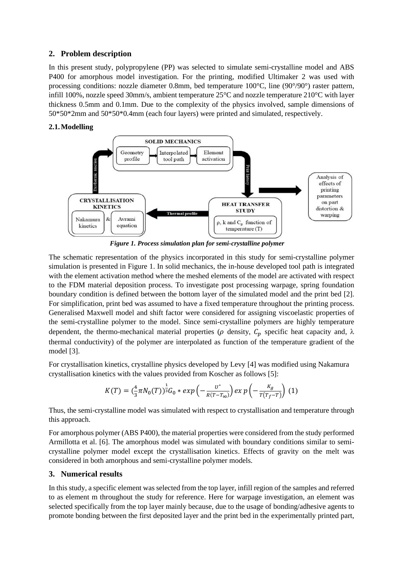#### **2. Problem description**

In this present study, polypropylene (PP) was selected to simulate semi-crystalline model and ABS P400 for amorphous model investigation. For the printing, modified Ultimaker 2 was used with processing conditions: nozzle diameter 0.8mm, bed temperature 100°C, line (90°/90°) raster pattern, infill 100%, nozzle speed 30mm/s, ambient temperature 25°C and nozzle temperature 210°C with layer thickness 0.5mm and 0.1mm. Due to the complexity of the physics involved, sample dimensions of 50\*50\*2mm and 50\*50\*0.4mm (each four layers) were printed and simulated, respectively.

#### **2.1.Modelling**



*Figure 1. Process simulation plan for semi-crystalline polymer*

The schematic representation of the physics incorporated in this study for semi-crystalline polymer simulation is presented in [Figure 1.](#page--1-0) In solid mechanics, the in-house developed tool path is integrated with the element activation method where the meshed elements of the model are activated with respect to the FDM material deposition process. To investigate post processing warpage, spring foundation boundary condition is defined between the bottom layer of the simulated model and the print bed [2]. For simplification, print bed was assumed to have a fixed temperature throughout the printing process. Generalised Maxwell model and shift factor were considered for assigning viscoelastic properties of the semi-crystalline polymer to the model. Since semi-crystalline polymers are highly temperature dependent, the thermo-mechanical material properties ( $\rho$  density,  $C_n$  specific heat capacity and,  $\lambda$ thermal conductivity) of the polymer are interpolated as function of the temperature gradient of the model [3].

For crystallisation kinetics, crystalline physics developed by Levy [4] was modified using Nakamura crystallisation kinetics with the values provided from Koscher as follows [5]:

$$
K(T) = \left(\frac{4}{3}\pi N_0(T)\right)^{\frac{1}{3}} G_0 * exp\left(-\frac{U^*}{R(T-T_{\infty})}\right) exp\left(-\frac{K_g}{T(T_f-T)}\right) (1)
$$

Thus, the semi-crystalline model was simulated with respect to crystallisation and temperature through this approach.

For amorphous polymer (ABS P400), the material properties were considered from the study performed Armillotta et al. [6]. The amorphous model was simulated with boundary conditions similar to semicrystalline polymer model except the crystallisation kinetics. Effects of gravity on the melt was considered in both amorphous and semi-crystalline polymer models.

#### **3. Numerical results**

In this study, a specific element was selected from the top layer, infill region of the samples and referred to as element m throughout the study for reference. Here for warpage investigation, an element was selected specifically from the top layer mainly because, due to the usage of bonding/adhesive agents to promote bonding between the first deposited layer and the print bed in the experimentally printed part,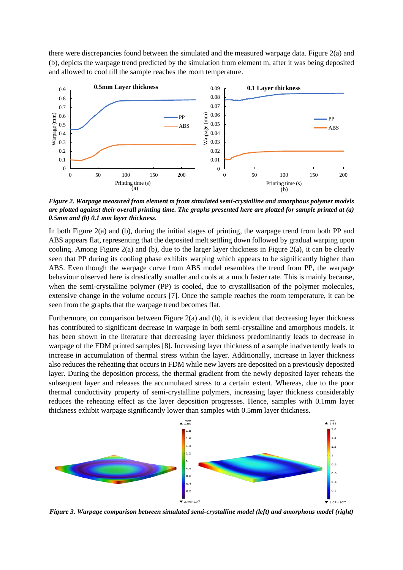there were discrepancies found between the simulated and the measured warpage data. [Figure 2\(](#page--1-1)a) and (b), depicts the warpage trend predicted by the simulation from element m, after it was being deposited and allowed to cool till the sample reaches the room temperature.



*Figure 2. Warpage measured from element m from simulated semi-crystalline and amorphous polymer models are plotted against their overall printing time. The graphs presented here are plotted for sample printed at (a) 0.5mm and (b) 0.1 mm layer thickness.*

In both [Figure 2\(](#page--1-1)a) and (b), during the initial stages of printing, the warpage trend from both PP and ABS appears flat, representing that the deposited melt settling down followed by gradual warping upon cooling. Among [Figure 2\(](#page--1-1)a) and (b), due to the larger layer thickness in [Figure 2\(](#page--1-1)a), it can be clearly seen that PP during its cooling phase exhibits warping which appears to be significantly higher than ABS. Even though the warpage curve from ABS model resembles the trend from PP, the warpage behaviour observed here is drastically smaller and cools at a much faster rate. This is mainly because, when the semi-crystalline polymer (PP) is cooled, due to crystallisation of the polymer molecules, extensive change in the volume occurs [7]. Once the sample reaches the room temperature, it can be seen from the graphs that the warpage trend becomes flat.

Furthermore, on comparison between [Figure 2\(](#page--1-1)a) and (b), it is evident that decreasing layer thickness has contributed to significant decrease in warpage in both semi-crystalline and amorphous models. It has been shown in the literature that decreasing layer thickness predominantly leads to decrease in warpage of the FDM printed samples [8]. Increasing layer thickness of a sample inadvertently leads to increase in accumulation of thermal stress within the layer. Additionally, increase in layer thickness also reduces the reheating that occurs in FDM while new layers are deposited on a previously deposited layer. During the deposition process, the thermal gradient from the newly deposited layer reheats the subsequent layer and releases the accumulated stress to a certain extent. Whereas, due to the poor thermal conductivity property of semi-crystalline polymers, increasing layer thickness considerably reduces the reheating effect as the layer deposition progresses. Hence, samples with 0.1mm layer thickness exhibit warpage significantly lower than samples with 0.5mm layer thickness.



*Figure 3. Warpage comparison between simulated semi-crystalline model (left) and amorphous model (right)*